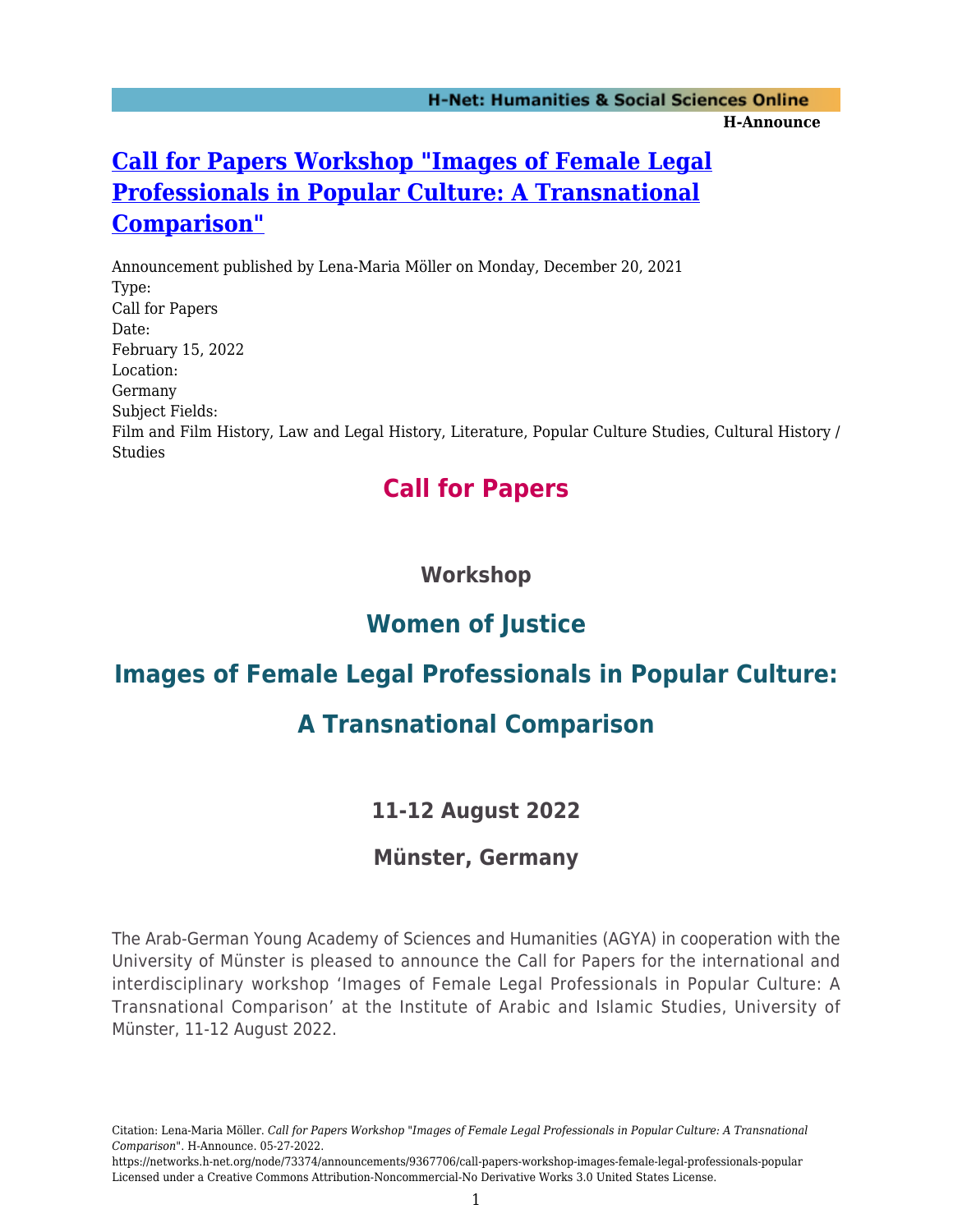# **[Call for Papers Workshop "Images of Female Legal](https://networks.h-net.org/node/73374/announcements/9367706/call-papers-workshop-images-female-legal-professionals-popular) [Professionals in Popular Culture: A Transnational](https://networks.h-net.org/node/73374/announcements/9367706/call-papers-workshop-images-female-legal-professionals-popular) [Comparison"](https://networks.h-net.org/node/73374/announcements/9367706/call-papers-workshop-images-female-legal-professionals-popular)**

Announcement published by Lena-Maria Möller on Monday, December 20, 2021 Type: Call for Papers Date: February 15, 2022 Location: Germany Subject Fields: Film and Film History, Law and Legal History, Literature, Popular Culture Studies, Cultural History / **Studies** 

# **Call for Papers**

## **Workshop**

# **Women of Justice**

# **Images of Female Legal Professionals in Popular Culture:**

# **A Transnational Comparison**

## **11-12 August 2022**

### **Münster, Germany**

The Arab-German Young Academy of Sciences and Humanities (AGYA) in cooperation with the University of Münster is pleased to announce the Call for Papers for the international and interdisciplinary workshop 'Images of Female Legal Professionals in Popular Culture: A Transnational Comparison' at the Institute of Arabic and Islamic Studies, University of Münster, 11-12 August 2022.

Citation: Lena-Maria Möller. *Call for Papers Workshop "Images of Female Legal Professionals in Popular Culture: A Transnational Comparison"*. H-Announce. 05-27-2022.

https://networks.h-net.org/node/73374/announcements/9367706/call-papers-workshop-images-female-legal-professionals-popular Licensed under a Creative Commons Attribution-Noncommercial-No Derivative Works 3.0 United States License.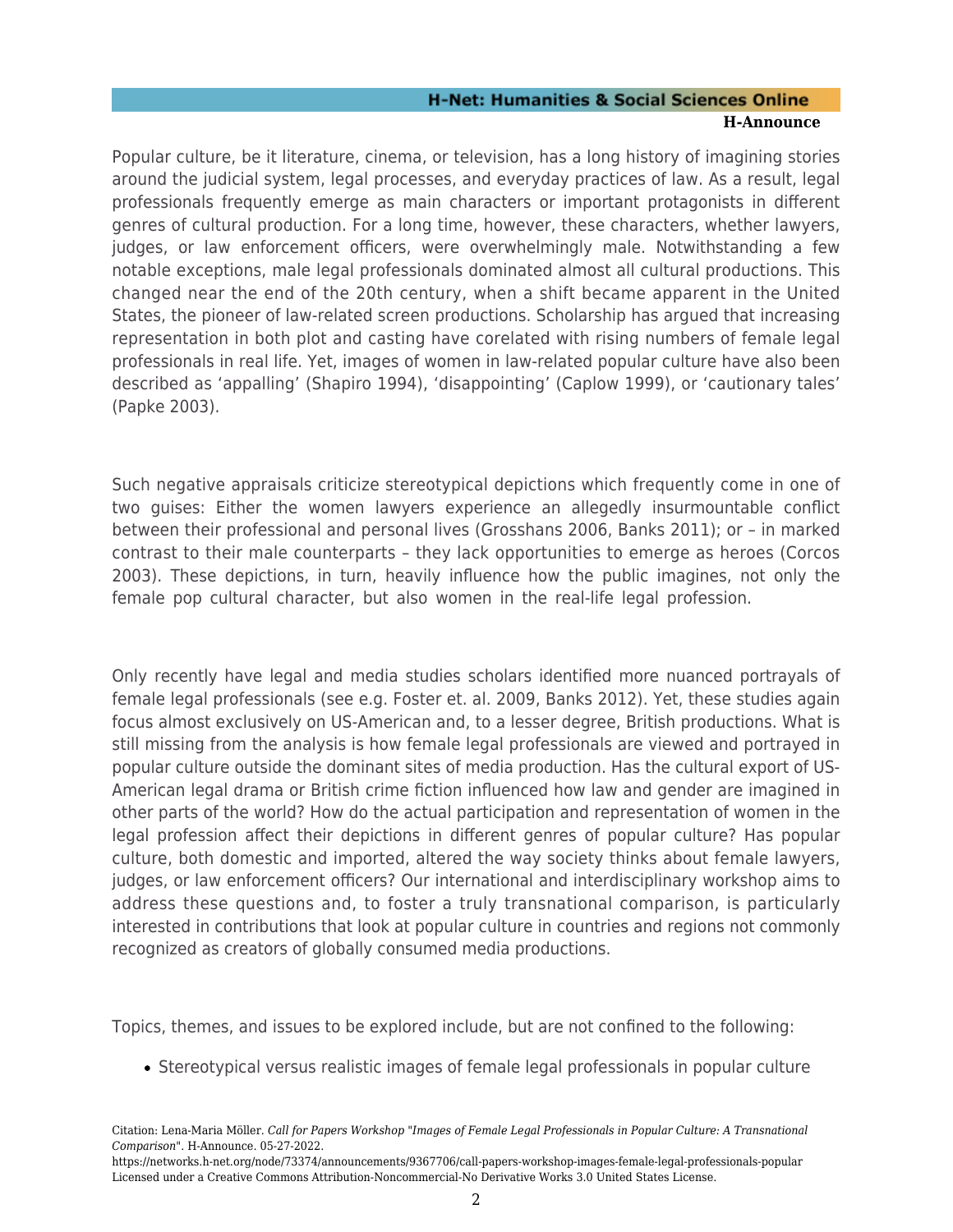### **H-Net: Humanities & Social Sciences Online H-Announce**

Popular culture, be it literature, cinema, or television, has a long history of imagining stories around the judicial system, legal processes, and everyday practices of law. As a result, legal professionals frequently emerge as main characters or important protagonists in different genres of cultural production. For a long time, however, these characters, whether lawyers, judges, or law enforcement officers, were overwhelmingly male. Notwithstanding a few notable exceptions, male legal professionals dominated almost all cultural productions. This changed near the end of the 20th century, when a shift became apparent in the United States, the pioneer of law-related screen productions. Scholarship has argued that increasing representation in both plot and casting have corelated with rising numbers of female legal professionals in real life. Yet, images of women in law-related popular culture have also been described as 'appalling' (Shapiro 1994), 'disappointing' (Caplow 1999), or 'cautionary tales' (Papke 2003).

Such negative appraisals criticize stereotypical depictions which frequently come in one of two guises: Either the women lawyers experience an allegedly insurmountable conflict between their professional and personal lives (Grosshans 2006, Banks 2011); or – in marked contrast to their male counterparts – they lack opportunities to emerge as heroes (Corcos 2003). These depictions, in turn, heavily influence how the public imagines, not only the female pop cultural character, but also women in the real-life legal profession.

Only recently have legal and media studies scholars identified more nuanced portrayals of female legal professionals (see e.g. Foster et. al. 2009, Banks 2012). Yet, these studies again focus almost exclusively on US-American and, to a lesser degree, British productions. What is still missing from the analysis is how female legal professionals are viewed and portrayed in popular culture outside the dominant sites of media production. Has the cultural export of US-American legal drama or British crime fiction influenced how law and gender are imagined in other parts of the world? How do the actual participation and representation of women in the legal profession affect their depictions in different genres of popular culture? Has popular culture, both domestic and imported, altered the way society thinks about female lawyers, judges, or law enforcement officers? Our international and interdisciplinary workshop aims to address these questions and, to foster a truly transnational comparison, is particularly interested in contributions that look at popular culture in countries and regions not commonly recognized as creators of globally consumed media productions.

Topics, themes, and issues to be explored include, but are not confined to the following:

Stereotypical versus realistic images of female legal professionals in popular culture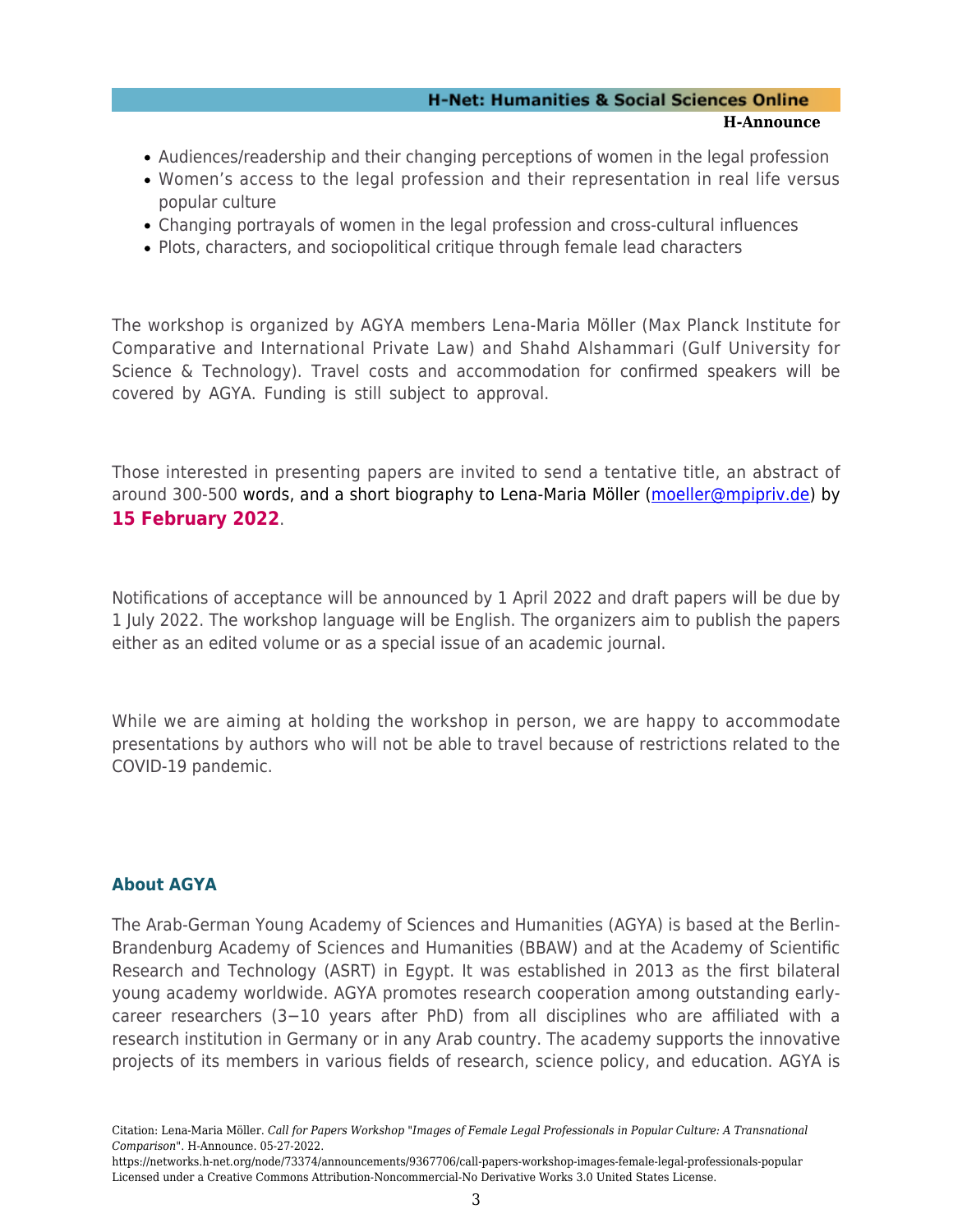#### **H-Net: Humanities & Social Sciences Online H-Announce**

- Audiences/readership and their changing perceptions of women in the legal profession
- Women's access to the legal profession and their representation in real life versus popular culture
- Changing portrayals of women in the legal profession and cross-cultural influences
- Plots, characters, and sociopolitical critique through female lead characters

The workshop is organized by AGYA members Lena-Maria Möller (Max Planck Institute for Comparative and International Private Law) and Shahd Alshammari (Gulf University for Science & Technology). Travel costs and accommodation for confirmed speakers will be covered by AGYA. Funding is still subject to approval.

Those interested in presenting papers are invited to send a tentative title, an abstract of around 300-500 words, and a short biography to Lena-Maria Möller ([moeller@mpipriv.de](mailto:moeller@mpipriv.de)) by **15 February 2022**.

Notifications of acceptance will be announced by 1 April 2022 and draft papers will be due by 1 July 2022. The workshop language will be English. The organizers aim to publish the papers either as an edited volume or as a special issue of an academic journal.

While we are aiming at holding the workshop in person, we are happy to accommodate presentations by authors who will not be able to travel because of restrictions related to the COVID-19 pandemic.

### **About AGYA**

The Arab-German Young Academy of Sciences and Humanities (AGYA) is based at the Berlin-Brandenburg Academy of Sciences and Humanities (BBAW) and at the Academy of Scientific Research and Technology (ASRT) in Egypt. It was established in 2013 as the first bilateral young academy worldwide. AGYA promotes research cooperation among outstanding earlycareer researchers (3−10 years after PhD) from all disciplines who are affiliated with a research institution in Germany or in any Arab country. The academy supports the innovative projects of its members in various fields of research, science policy, and education. AGYA is

Citation: Lena-Maria Möller. *Call for Papers Workshop "Images of Female Legal Professionals in Popular Culture: A Transnational Comparison"*. H-Announce. 05-27-2022.

https://networks.h-net.org/node/73374/announcements/9367706/call-papers-workshop-images-female-legal-professionals-popular Licensed under a Creative Commons Attribution-Noncommercial-No Derivative Works 3.0 United States License.